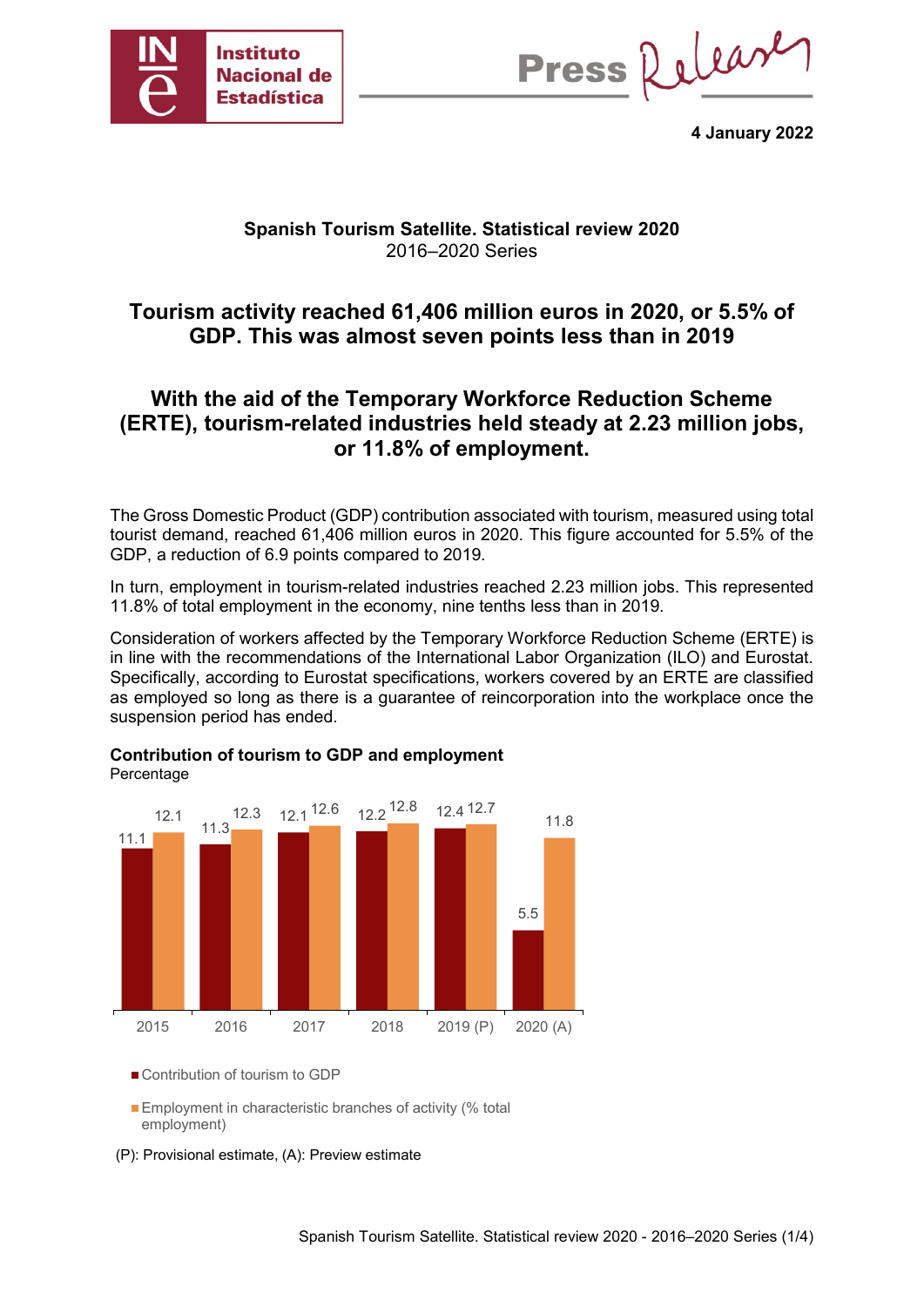

Press Release

**4 January 2022**

### **Spanish Tourism Satellite. Statistical review 2020** 2016–2020 Series

# **Tourism activity reached 61,406 million euros in 2020, or 5.5% of GDP. This was almost seven points less than in 2019**

# **With the aid of the Temporary Workforce Reduction Scheme (ERTE), tourism-related industries held steady at 2.23 million jobs, or 11.8% of employment.**

The Gross Domestic Product (GDP) contribution associated with tourism, measured using total tourist demand, reached 61,406 million euros in 2020. This figure accounted for 5.5% of the GDP, a reduction of 6.9 points compared to 2019.

In turn, employment in tourism-related industries reached 2.23 million jobs. This represented 11.8% of total employment in the economy, nine tenths less than in 2019.

Consideration of workers affected by the Temporary Workforce Reduction Scheme (ERTE) is in line with the recommendations of the International Labor Organization (ILO) and Eurostat. Specifically, according to Eurostat specifications, workers covered by an ERTE are classified as employed so long as there is a guarantee of reincorporation into the workplace once the suspension period has ended.



#### **Contribution of tourism to GDP and employment** Percentage

Contribution of tourism to GDP

**Employment in characteristic branches of activity (% total** employment)

(P): Provisional estimate, (A): Preview estimate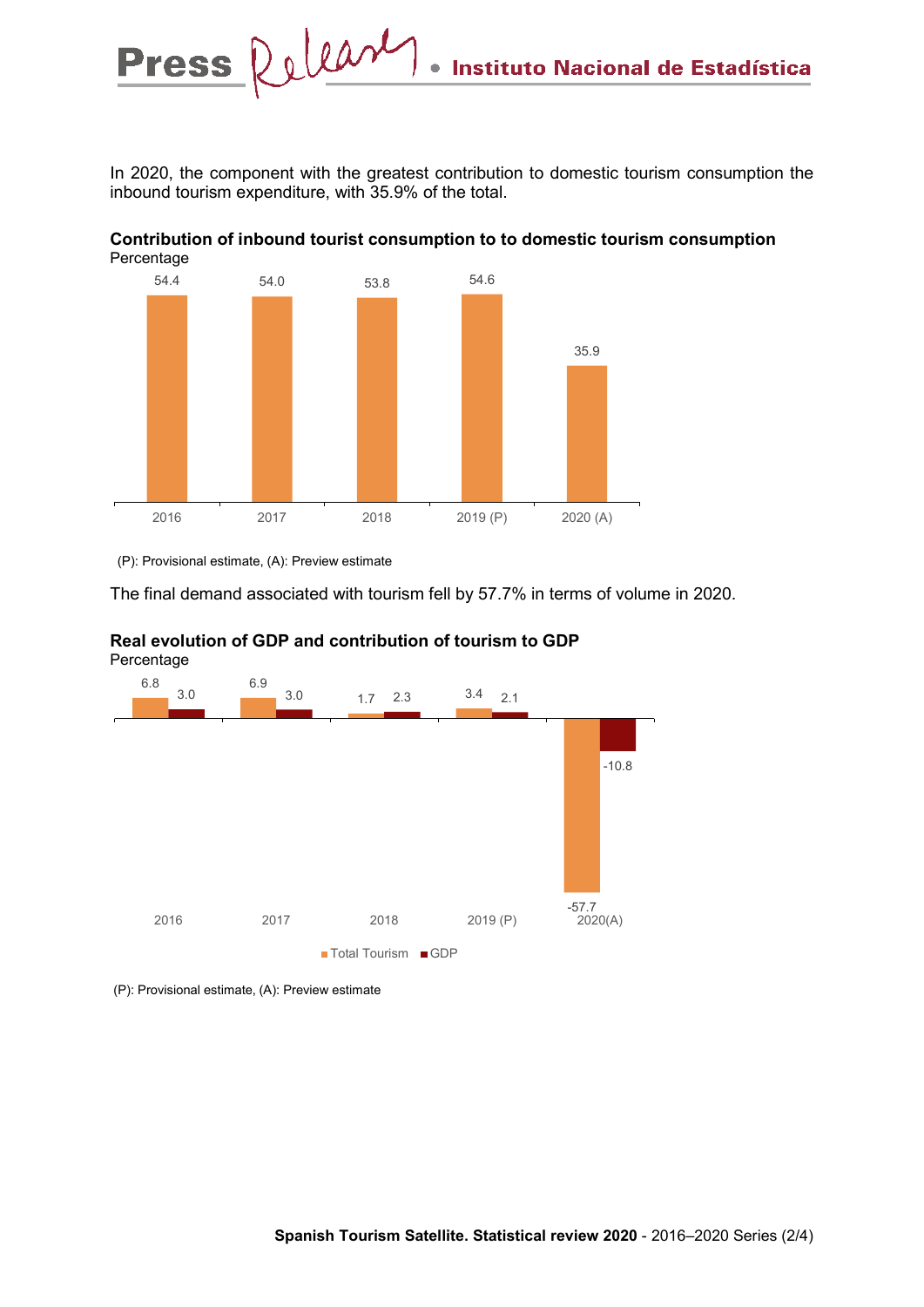In 2020, the component with the greatest contribution to domestic tourism consumption the inbound tourism expenditure, with 35.9% of the total.





(P): Provisional estimate, (A): Preview estimate

The final demand associated with tourism fell by 57.7% in terms of volume in 2020.



# **Real evolution of GDP and contribution of tourism to GDP**

(P): Provisional estimate, (A): Preview estimate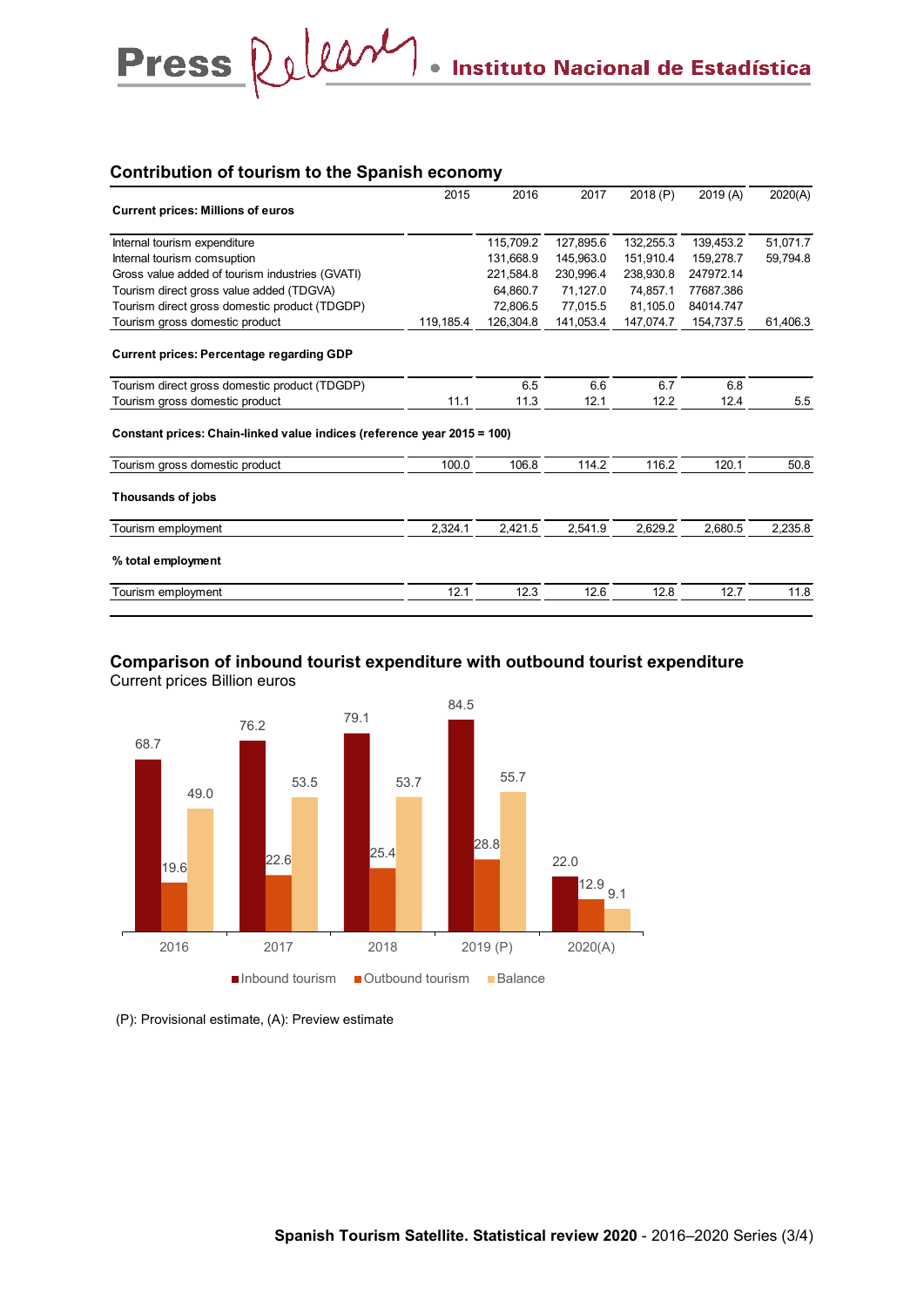### **Contribution of tourism to the Spanish economy**

Press Relear

|                                                                         | 2015      | 2016      | 2017      | 2018 (P)  | 2019(A)   | 2020(A)  |
|-------------------------------------------------------------------------|-----------|-----------|-----------|-----------|-----------|----------|
| <b>Current prices: Millions of euros</b>                                |           |           |           |           |           |          |
| Internal tourism expenditure                                            |           | 115,709.2 | 127,895.6 | 132,255.3 | 139,453.2 | 51,071.7 |
| Internal tourism comsuption                                             |           | 131,668.9 | 145,963.0 | 151,910.4 | 159.278.7 | 59,794.8 |
| Gross value added of tourism industries (GVATI)                         |           | 221,584.8 | 230,996.4 | 238,930.8 | 247972.14 |          |
| Tourism direct gross value added (TDGVA)                                |           | 64.860.7  | 71.127.0  | 74,857.1  | 77687.386 |          |
| Tourism direct gross domestic product (TDGDP)                           |           | 72.806.5  | 77.015.5  | 81,105.0  | 84014.747 |          |
| Tourism gross domestic product                                          | 119,185.4 | 126,304.8 | 141,053.4 | 147,074.7 | 154,737.5 | 61,406.3 |
| <b>Current prices: Percentage regarding GDP</b>                         |           |           |           |           |           |          |
| Tourism direct gross domestic product (TDGDP)                           |           | 6.5       | 6.6       | 6.7       | 6.8       |          |
| Tourism gross domestic product                                          | 11.1      | 11.3      | 12.1      | 12.2      | 12.4      | 5.5      |
| Constant prices: Chain-linked value indices (reference year 2015 = 100) |           |           |           |           |           |          |
| Tourism gross domestic product                                          | 100.0     | 106.8     | 114.2     | 116.2     | 120.1     | 50.8     |
| Thousands of jobs                                                       |           |           |           |           |           |          |
| Tourism employment                                                      | 2,324.1   | 2,421.5   | 2,541.9   | 2,629.2   | 2,680.5   | 2,235.8  |
| % total employment                                                      |           |           |           |           |           |          |
| Tourism employment                                                      | 12.1      | 12.3      | 12.6      | 12.8      | 12.7      | 11.8     |

### **Comparison of inbound tourist expenditure with outbound tourist expenditure** Current prices Billion euros



(P): Provisional estimate, (A): Preview estimate